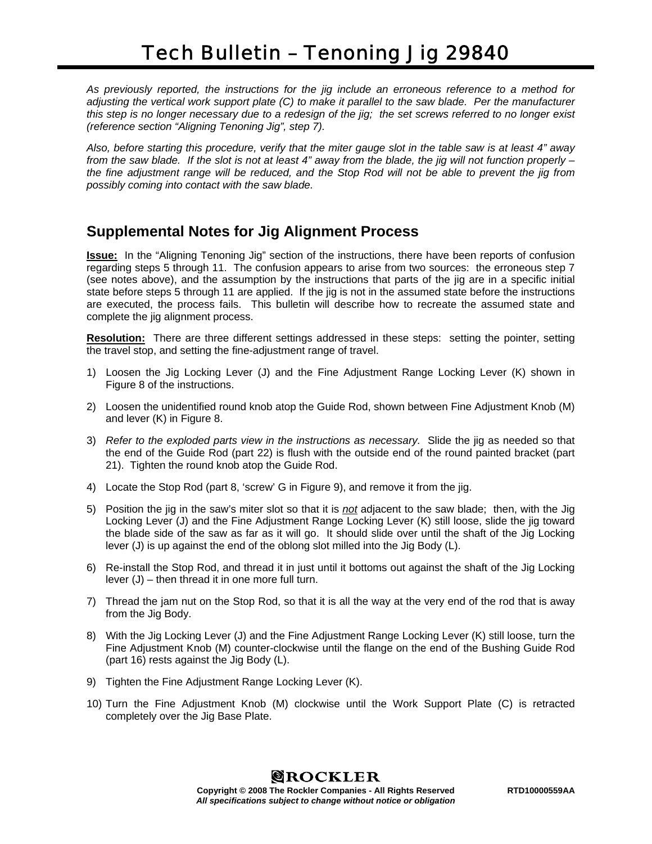*As previously reported, the instructions for the jig include an erroneous reference to a method for adjusting the vertical work support plate (C) to make it parallel to the saw blade. Per the manufacturer this step is no longer necessary due to a redesign of the jig; the set screws referred to no longer exist (reference section "Aligning Tenoning Jig", step 7).* 

*Also, before starting this procedure, verify that the miter gauge slot in the table saw is at least 4" away from the saw blade. If the slot is not at least 4" away from the blade, the jig will not function properly – the fine adjustment range will be reduced, and the Stop Rod will not be able to prevent the jig from possibly coming into contact with the saw blade.* 

## **Supplemental Notes for Jig Alignment Process**

**Issue:** In the "Aligning Tenoning Jig" section of the instructions, there have been reports of confusion regarding steps 5 through 11. The confusion appears to arise from two sources: the erroneous step 7 (see notes above), and the assumption by the instructions that parts of the jig are in a specific initial state before steps 5 through 11 are applied. If the jig is not in the assumed state before the instructions are executed, the process fails. This bulletin will describe how to recreate the assumed state and complete the jig alignment process.

**Resolution:** There are three different settings addressed in these steps: setting the pointer, setting the travel stop, and setting the fine-adjustment range of travel.

- 1) Loosen the Jig Locking Lever (J) and the Fine Adjustment Range Locking Lever (K) shown in Figure 8 of the instructions.
- 2) Loosen the unidentified round knob atop the Guide Rod, shown between Fine Adjustment Knob (M) and lever (K) in Figure 8.
- 3) *Refer to the exploded parts view in the instructions as necessary.* Slide the jig as needed so that the end of the Guide Rod (part 22) is flush with the outside end of the round painted bracket (part 21). Tighten the round knob atop the Guide Rod.
- 4) Locate the Stop Rod (part 8, 'screw' G in Figure 9), and remove it from the jig.
- 5) Position the jig in the saw's miter slot so that it is *not* adjacent to the saw blade; then, with the Jig Locking Lever (J) and the Fine Adjustment Range Locking Lever (K) still loose, slide the jig toward the blade side of the saw as far as it will go. It should slide over until the shaft of the Jig Locking lever (J) is up against the end of the oblong slot milled into the Jig Body (L).
- 6) Re-install the Stop Rod, and thread it in just until it bottoms out against the shaft of the Jig Locking lever (J) – then thread it in one more full turn.
- 7) Thread the jam nut on the Stop Rod, so that it is all the way at the very end of the rod that is away from the Jig Body.
- 8) With the Jig Locking Lever (J) and the Fine Adjustment Range Locking Lever (K) still loose, turn the Fine Adjustment Knob (M) counter-clockwise until the flange on the end of the Bushing Guide Rod (part 16) rests against the Jig Body (L).
- 9) Tighten the Fine Adjustment Range Locking Lever (K).
- 10) Turn the Fine Adjustment Knob (M) clockwise until the Work Support Plate (C) is retracted completely over the Jig Base Plate.